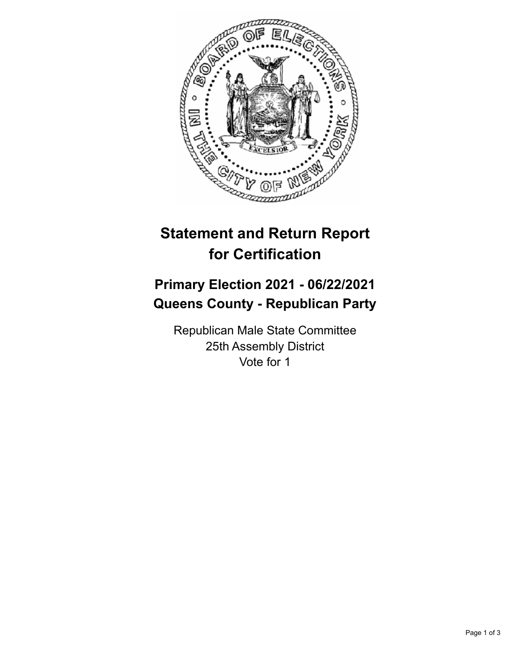

## **Statement and Return Report for Certification**

## **Primary Election 2021 - 06/22/2021 Queens County - Republican Party**

Republican Male State Committee 25th Assembly District Vote for 1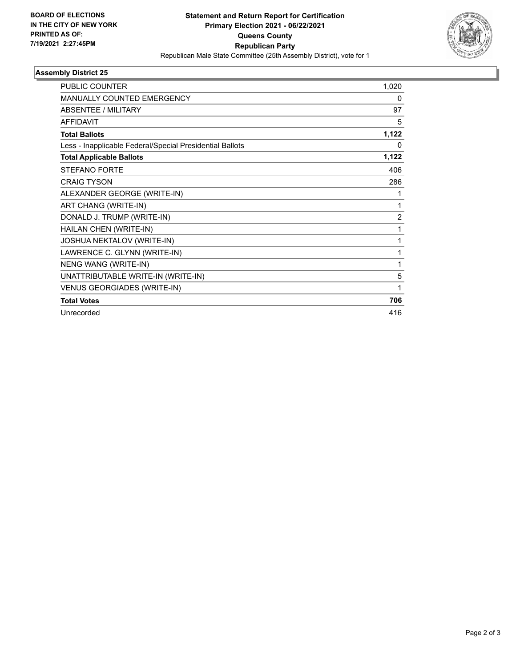

## **Assembly District 25**

| <b>PUBLIC COUNTER</b>                                    | 1,020    |
|----------------------------------------------------------|----------|
| <b>MANUALLY COUNTED EMERGENCY</b>                        | 0        |
| ABSENTEE / MILITARY                                      | 97       |
| <b>AFFIDAVIT</b>                                         | 5        |
| <b>Total Ballots</b>                                     | 1,122    |
| Less - Inapplicable Federal/Special Presidential Ballots | $\Omega$ |
| <b>Total Applicable Ballots</b>                          | 1,122    |
| <b>STEFANO FORTE</b>                                     | 406      |
| <b>CRAIG TYSON</b>                                       | 286      |
| ALEXANDER GEORGE (WRITE-IN)                              | 1        |
| ART CHANG (WRITE-IN)                                     | 1        |
| DONALD J. TRUMP (WRITE-IN)                               | 2        |
| HAILAN CHEN (WRITE-IN)                                   | 1        |
| JOSHUA NEKTALOV (WRITE-IN)                               | 1        |
| LAWRENCE C. GLYNN (WRITE-IN)                             | 1        |
| NENG WANG (WRITE-IN)                                     | 1        |
| UNATTRIBUTABLE WRITE-IN (WRITE-IN)                       | 5        |
| VENUS GEORGIADES (WRITE-IN)                              | 1        |
| <b>Total Votes</b>                                       | 706      |
| Unrecorded                                               | 416      |